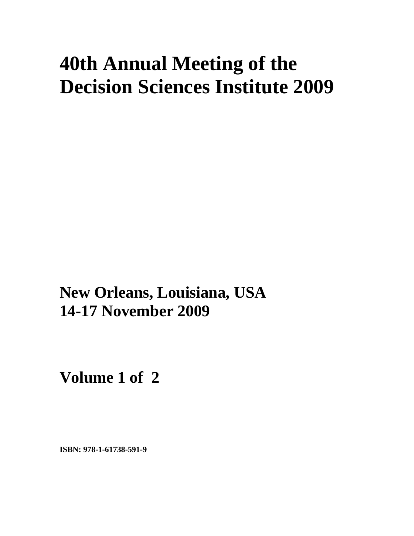# **40th Annual Meeting of the Decision Sciences Institute 2009**

**xxx New Orleans, Louisiana, USA 14-17 November 2009** 

**Volume 1 of 2** 

**ISBN: 978-1-61738-591-9**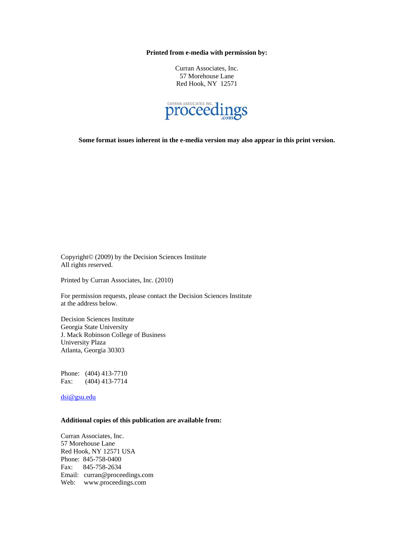**Printed from e-media with permission by:** 

Curran Associates, Inc. 57 Morehouse Lane Red Hook, NY 12571



**Some format issues inherent in the e-media version may also appear in this print version.** 

Copyright© (2009) by the Decision Sciences Institute All rights reserved.

Printed by Curran Associates, Inc. (2010)

For permission requests, please contact the Decision Sciences Institute at the address below.

Decision Sciences Institute Georgia State University J. Mack Robinson College of Business University Plaza Atlanta, Georgia 30303

Phone: (404) 413-7710 Fax: (404) 413-7714

dsi@gsu.edu

#### **Additional copies of this publication are available from:**

Curran Associates, Inc. 57 Morehouse Lane Red Hook, NY 12571 USA Phone: 845-758-0400 Fax: 845-758-2634 Email: curran@proceedings.com Web: www.proceedings.com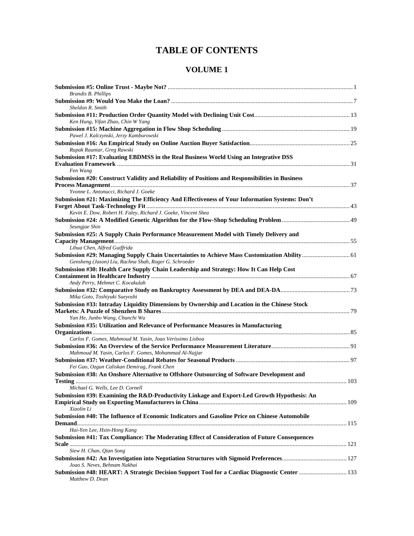# **TABLE OF CONTENTS**

### **VOLUME 1**

| <b>Brandis B. Phillips</b>                                                                                                                             |  |
|--------------------------------------------------------------------------------------------------------------------------------------------------------|--|
| Sheldon R. Smith                                                                                                                                       |  |
| Ken Hung, Yifan Zhao, Chin W Yang                                                                                                                      |  |
| Pawel J. Kalczynski, Jerzy Kamburowski                                                                                                                 |  |
| Rupak Rauniar, Greg Rawski                                                                                                                             |  |
| Submission #17: Evaluating EBDMSS in the Real Business World Using an Integrative DSS<br>Fen Wang                                                      |  |
| Submission #20: Construct Validity and Reliability of Positions and Responsibilities in Business                                                       |  |
| Yvonne L. Antonucci, Richard J. Goeke                                                                                                                  |  |
| Submission #21: Maximizing The Efficiency And Effectiveness of Your Information Systems: Don't                                                         |  |
|                                                                                                                                                        |  |
| Kevin E. Dow, Robert H. Faley, Richard J. Goeke, Vincent Shea                                                                                          |  |
| Seungjae Shin                                                                                                                                          |  |
| Submission #25: A Supply Chain Performance Measurement Model with Timely Delivery and                                                                  |  |
| Lihua Chen, Alfred Guiffrida                                                                                                                           |  |
| Submission #29: Managing Supply Chain Uncertainties to Achieve Mass Customization Ability  61<br>Gensheng (Jason) Liu, Rachna Shah, Roger G. Schroeder |  |
| Submission #30: Health Care Supply Chain Leadership and Strategy: How It Can Help Cost                                                                 |  |
| Andy Perry, Mehmet C. Kocakulah                                                                                                                        |  |
| Mika Goto, Toshiyuki Sueyoshi                                                                                                                          |  |
| Submission #33: Intraday Liquidity Dimensions by Ownership and Location in the Chinese Stock<br>Yan He, Junbo Wang, Chunchi Wu                         |  |
| Submission #35: Utilization and Relevance of Performance Measures in Manufacturing                                                                     |  |
| Carlos F. Gomes, Mahmoud M. Yasin, Joao Veríssimo Lisboa                                                                                               |  |
| Mahmoud M. Yasin, Carlos F. Gomes, Mohammad Al-Najjar                                                                                                  |  |
|                                                                                                                                                        |  |
| Fei Gao, Ozgun Caliskan Demirag, Frank Chen<br>Submission #38: An Onshore Alternative to Offshore Outsourcing of Software Development and              |  |
| Michael G. Wells, Lee D. Cornell                                                                                                                       |  |
| Submission #39: Examining the R&D-Productivity Linkage and Export-Led Growth Hypothesis: An<br>Xiaolin Li                                              |  |
| Submission #40: The Influence of Economic Indicators and Gasoline Price on Chinese Automobile                                                          |  |
| Hui-Yen Lee, Hsin-Hong Kang                                                                                                                            |  |
| Submission #41: Tax Compliance: The Moderating Effect of Consideration of Future Consequences                                                          |  |
| Siew H. Chan, Qian Song                                                                                                                                |  |
| Joao S. Neves, Behnam Nakhai                                                                                                                           |  |
| Submission #48: HEART: A Strategic Decision Support Tool for a Cardiac Diagnostic Center  133<br>Matthew D. Dean                                       |  |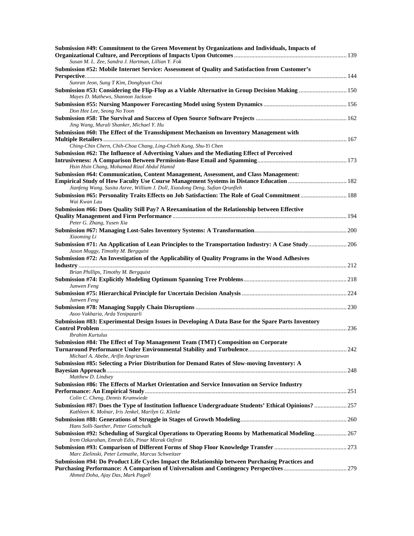| Submission #49: Commitment to the Green Movement by Organizations and Individuals, Impacts of         |  |
|-------------------------------------------------------------------------------------------------------|--|
|                                                                                                       |  |
| Susan M. L. Zee, Sandra J. Hartman, Lillian Y. Fok                                                    |  |
| Submission #52: Mobile Internet Service: Assessment of Quality and Satisfaction from Customer's       |  |
| Sunran Jeon, Sung T Kim, Donghyun Choi                                                                |  |
| Submission #53: Considering the Flip-Flop as a Viable Alternative in Group Decision Making  150       |  |
| Mayes D. Mathews, Shannon Jackson                                                                     |  |
|                                                                                                       |  |
| Don Hee Lee, Seong No Yoon                                                                            |  |
|                                                                                                       |  |
| Jing Wang, Murali Shanker, Michael Y. Hu                                                              |  |
| Submission #60: The Effect of the Transshipment Mechanism on Inventory Management with                |  |
|                                                                                                       |  |
| Ching-Chin Chern, Chih-Choa Chang, Ling-Chieh Kung, Shu-Yi Chen                                       |  |
| Submission #62: The Influence of Advertising Values and the Mediating Effect of Perceived             |  |
|                                                                                                       |  |
| Hsin Hsin Chang, Mohamad Rizal Abdul Hamid                                                            |  |
| Submission #64: Communication, Content Management, Assessment, and Class Management:                  |  |
| Empirical Study of How Faculty Use Course Management Systems in Distance Education  182               |  |
| Jianfeng Wang, Susita Asree, William J. Doll, Xiaodong Deng, Sufian Qrunfleh                          |  |
| Submission #65: Personality Traits Effects on Job Satisfaction: The Role of Goal Commitment  188      |  |
| Wai Kwan Lau                                                                                          |  |
| Submission #66: Does Quality Still Pay? A Reexamination of the Relationship between Effective         |  |
|                                                                                                       |  |
| Peter G. Zhang, Yusen Xia                                                                             |  |
| Xiaoming Li                                                                                           |  |
| Submission #71: An Application of Lean Principles to the Transportation Industry: A Case Study 206    |  |
| Jason Muggy, Timothy M. Bergquist                                                                     |  |
| Submission #72: An Investigation of the Applicability of Quality Programs in the Wood Adhesives       |  |
|                                                                                                       |  |
| Brian Phillips, Timothy M. Bergquist                                                                  |  |
|                                                                                                       |  |
| Junwen Feng                                                                                           |  |
|                                                                                                       |  |
| Junwen Feng                                                                                           |  |
|                                                                                                       |  |
| Asoo Vakharia, Arda Yenipazarli                                                                       |  |
| Submission #83: Experimental Design Issues in Developing A Data Base for the Spare Parts Inventory    |  |
|                                                                                                       |  |
| <b>Ibrahim Kurtulus</b>                                                                               |  |
| Submission #84: The Effect of Top Management Team (TMT) Composition on Corporate                      |  |
|                                                                                                       |  |
| Michael A. Abebe, Arifin Angriawan                                                                    |  |
| Submission #85: Selecting a Prior Distribution for Demand Rates of Slow-moving Inventory: A           |  |
| Matthew D. Lindsey                                                                                    |  |
| Submission #86: The Effects of Market Orientation and Service Innovation on Service Industry          |  |
|                                                                                                       |  |
| Colin C. Cheng, Dennis Krumwiede                                                                      |  |
| Submission #87: Does the Type of Institution Influence Undergraduate Students' Ethical Opinions?  257 |  |
| Kathleen K. Molnar, Iris Jenkel, Marilyn G. Kletke                                                    |  |
|                                                                                                       |  |
| Hans Solli-Saether, Petter Gottschalk                                                                 |  |
| Submission #92: Scheduling of Surgical Operations to Operating Rooms by Mathematical Modeling 267     |  |
| Irem Ozkarahan, Emrah Edis, Pinar Mizrak Ozfirat                                                      |  |
|                                                                                                       |  |
| Marc Zielinski, Peter Letmathe, Marcus Schweitzer                                                     |  |
| Submission #94: Do Product Life Cycles Impact the Relationship between Purchasing Practices and       |  |
|                                                                                                       |  |
| Ahmed Doha, Ajay Das, Mark Pagell                                                                     |  |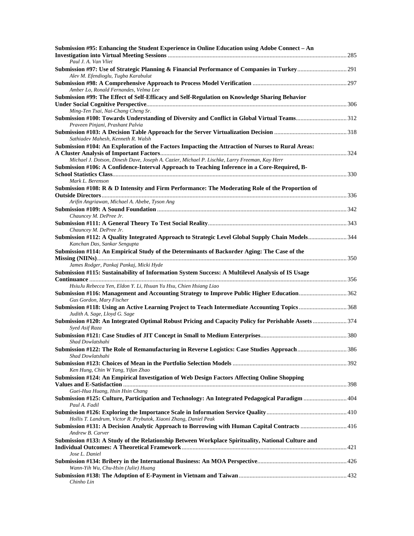| Submission #95: Enhancing the Student Experience in Online Education using Adobe Connect - An                                   |  |
|---------------------------------------------------------------------------------------------------------------------------------|--|
| Paul J. A. Van Vliet<br>Submission #97: Use of Strategic Planning & Financial Performance of Companies in Turkey 291            |  |
| Alev M. Efendioglu, Tugba Karabulut                                                                                             |  |
| Amber Lo, Ronald Fernandes, Velma Lee                                                                                           |  |
| Submission #99: The Effect of Self-Efficacy and Self-Regulation on Knowledge Sharing Behavior                                   |  |
| Ming-Ten Tsai, Nai-Chang Cheng Sr.                                                                                              |  |
| Submission #100: Towards Understanding of Diversity and Conflict in Global Virtual Teams312<br>Praveen Pinjani, Prashant Palvia |  |
| Sathiadev Mahesh, Kenneth R. Walsh                                                                                              |  |
| Submission #104: An Exploration of the Factors Impacting the Attraction of Nurses to Rural Areas:                               |  |
| Michael J. Dotson, Dinesh Dave, Joseph A. Cazier, Michael P. Lischke, Larry Freeman, Kay Herr                                   |  |
| Submission #106: A Confidence-Interval Approach to Teaching Inference in a Core-Required, B-                                    |  |
|                                                                                                                                 |  |
| Mark L. Berenson                                                                                                                |  |
| Submission #108: R & D Intensity and Firm Performance: The Moderating Role of the Proportion of                                 |  |
| Arifin Angriawan, Michael A. Abebe, Tyson Ang                                                                                   |  |
|                                                                                                                                 |  |
| Chauncey M. DePree Jr.                                                                                                          |  |
|                                                                                                                                 |  |
| Chauncey M. DePree Jr.<br>Submission #112: A Quality Integrated Approach to Strategic Level Global Supply Chain Models344       |  |
| Kanchan Das, Sankar Sengupta                                                                                                    |  |
| Submission #114: An Empirical Study of the Determinants of Backorder Aging: The Case of the                                     |  |
|                                                                                                                                 |  |
| James Rodger, Pankaj Pankaj, Micki Hyde                                                                                         |  |
| Submission #115: Sustainability of Information System Success: A Multilevel Analysis of IS Usage                                |  |
| HsiuJu Rebecca Yen, Eldon Y. Li, Hsuan Yu Hsu, Chien Hsiang Liao                                                                |  |
| Submission #116: Management and Accounting Strategy to Improve Public Higher Education362                                       |  |
| Gus Gordon, Mary Fischer<br>Submission #118: Using an Active Learning Project to Teach Intermediate Accounting Topics 368       |  |
| Judith A. Sage, Lloyd G. Sage                                                                                                   |  |
| Submission #120: An Integrated Optimal Robust Pricing and Capacity Policy for Perishable Assets  374<br>Syed Asif Raza          |  |
|                                                                                                                                 |  |
| Shad Dowlatshahi                                                                                                                |  |
| Submission #122: The Role of Remanufacturing in Reverse Logistics: Case Studies Approach386<br>Shad Dowlatshahi                 |  |
| Ken Hung, Chin W Yang, Yifan Zhao                                                                                               |  |
| Submission #124: An Empirical Investigation of Web Design Factors Affecting Online Shopping                                     |  |
|                                                                                                                                 |  |
| Guei-Hua Huang, Hsin Hsin Chang                                                                                                 |  |
| Submission #125: Culture, Participation and Technology: An Integrated Pedagogical Paradigm  404<br>Paul A. Fadil                |  |
| Hollis T. Landrum, Victor R. Prybutok, Xiaoni Zhang, Daniel Peak                                                                |  |
| Submission #131: A Decision Analytic Approach to Borrowing with Human Capital Contracts  416                                    |  |
| Andrew B. Carver                                                                                                                |  |
| Submission #133: A Study of the Relationship Between Workplace Spirituality, National Culture and                               |  |
|                                                                                                                                 |  |
| Jose L. Daniel                                                                                                                  |  |
| Wann-Yih Wu, Chu-Hsin (Julie) Huang                                                                                             |  |
| Chinho Lin                                                                                                                      |  |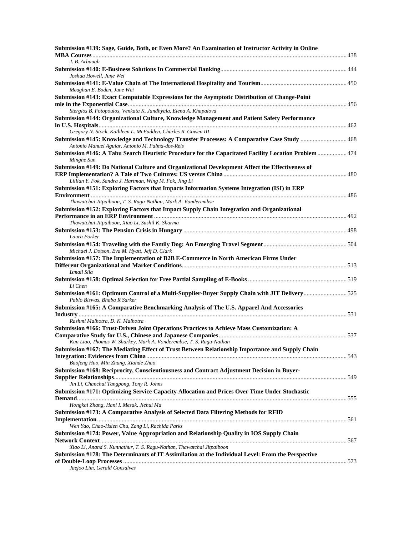| Submission #139: Sage, Guide, Both, or Even More? An Examination of Instructor Activity in Online                                                                           |  |
|-----------------------------------------------------------------------------------------------------------------------------------------------------------------------------|--|
| J. B. Arbaugh                                                                                                                                                               |  |
| Joshua Howell, June Wei                                                                                                                                                     |  |
| Meaghan E. Boden, June Wei                                                                                                                                                  |  |
| Submission #143: Exact Computable Expressions for the Asymptotic Distribution of Change-Point                                                                               |  |
| Stergios B. Fotopoulos, Venkata K. Jandhyala, Elena A. Khapalova                                                                                                            |  |
| Submission #144: Organizational Culture, Knowledge Management and Patient Safety Performance                                                                                |  |
| Gregory N. Stock, Kathleen L. McFadden, Charles R. Gowen III                                                                                                                |  |
| Submission #145: Knowledge and Technology Transfer Processes: A Comparative Case Study  468<br>Antonio Manuel Aguiar, Antonio M. Palma-dos-Reis                             |  |
| Submission #146: A Tabu Search Heuristic Procedure for the Capacitated Facility Location Problem  474<br>Minghe Sun                                                         |  |
| Submission #149: Do National Culture and Organizational Development Affect the Effectiveness of<br>Lillian Y. Fok, Sandra J. Hartman, Wing M. Fok, Jing Li                  |  |
| Submission #151: Exploring Factors that Impacts Information Systems Integration (ISI) in ERP                                                                                |  |
|                                                                                                                                                                             |  |
| Thawatchai Jitpaiboon, T. S. Ragu-Nathan, Mark A. Vonderembse                                                                                                               |  |
| Submission #152: Exploring Factors that Impact Supply Chain Integration and Organizational                                                                                  |  |
| Thawatchai Jitpaiboon, Xiao Li, Sushil K. Sharma                                                                                                                            |  |
| Laura Forker                                                                                                                                                                |  |
| Michael J. Dotson, Eva M. Hyatt, Jeff D. Clark                                                                                                                              |  |
| Submission #157: The Implementation of B2B E-Commerce in North American Firms Under                                                                                         |  |
|                                                                                                                                                                             |  |
| Ismail Sila                                                                                                                                                                 |  |
| Li Chen                                                                                                                                                                     |  |
| Submission #161: Optimum Control of a Multi-Supplier-Buyer Supply Chain with JIT Delivery525<br>Pablo Biswas, Bhaba R Sarker                                                |  |
| Submission #165: A Comparative Benchmarking Analysis of The U.S. Apparel And Accessories                                                                                    |  |
| Rashmi Malhotra, D. K. Malhotra                                                                                                                                             |  |
| Submission #166: Trust-Driven Joint Operations Practices to Achieve Mass Customization: A                                                                                   |  |
| Kun Liao, Thomas W. Sharkey, Mark A. Vonderembse, T. S. Ragu-Nathan                                                                                                         |  |
| Submission #167: The Mediating Effect of Trust Between Relationship Importance and Supply Chain                                                                             |  |
| Baofeng Huo, Min Zhang, Xiande Zhao                                                                                                                                         |  |
| Submission #168: Reciprocity, Conscientiousness and Contract Adjustment Decision in Buyer-                                                                                  |  |
| Jin Li, Chanchai Tangpong, Tony R. Johns                                                                                                                                    |  |
| Submission #171: Optimizing Service Capacity Allocation and Prices Over Time Under Stochastic                                                                               |  |
| Hongkai Zhang, Hani I. Mesak, Jiehui Ma<br>Submission #173: A Comparative Analysis of Selected Data Filtering Methods for RFID                                              |  |
|                                                                                                                                                                             |  |
| Wen Yao, Chao-Hsien Chu, Zang Li, Rachida Parks<br>Submission #174: Power, Value Appropriation and Relationship Quality in IOS Supply Chain                                 |  |
|                                                                                                                                                                             |  |
| Xiao Li, Anand S. Kunnathur, T. S. Ragu-Nathan, Thawatchai Jitpaiboon<br>Submission #178: The Determinants of IT Assimilation at the Individual Level: From the Perspective |  |
| Jaejoo Lim, Gerald Gonsalves                                                                                                                                                |  |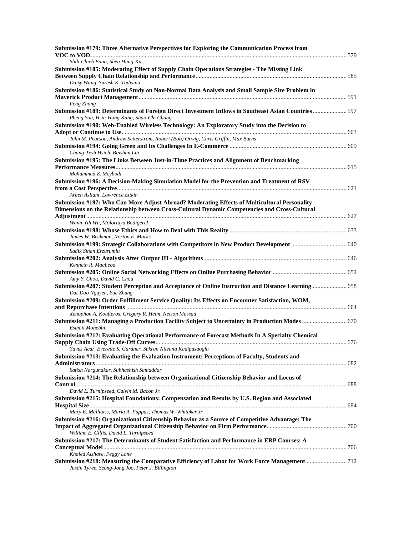| Submission #179: Three Alternative Perspectives for Exploring the Communication Process from                                                                                                  |  |
|-----------------------------------------------------------------------------------------------------------------------------------------------------------------------------------------------|--|
| Shih-Chieh Fang, Shen Hung-Ku                                                                                                                                                                 |  |
| Submission #185: Moderating Effect of Supply Chain Operations Strategies - The Missing Link                                                                                                   |  |
| Daisy Wang, Suresh K. Tadisina<br>Submission #186: Statistical Study on Non-Normal Data Analysis and Small Sample Size Problem in                                                             |  |
| Feng Zhang                                                                                                                                                                                    |  |
| Submission #189: Determinants of Foreign Direct Investment Inflows in Southeast Asian Countries597<br>Pheng Sou, Hsin-Hong Kang, Shao-Chi Chang                                               |  |
| Submission #190: Web-Enabled Wireless Technology: An Exploratory Study into the Decision to                                                                                                   |  |
| John M. Pearson, Andrew Setterstrom, Robert (Bob) Orwig, Chris Griffin, Max Burns                                                                                                             |  |
| Chang-Tesh Hsieh, Binshan Lin                                                                                                                                                                 |  |
| Submission #195: The Links Between Just-in-Time Practices and Alignment of Benchmarking                                                                                                       |  |
| Mohammad Z. Meybodi                                                                                                                                                                           |  |
| Submission #196: A Decision-Making Simulation Model for the Prevention and Treatment of RSV                                                                                                   |  |
| Arben Asllani, Lawrence Ettkin                                                                                                                                                                |  |
| Submission #197: Who Can More Adjust Abroad? Moderating Effects of Multicultural Personality<br>Dimensions on the Relationship between Cross-Cultural Dynamic Competencies and Cross-Cultural |  |
| Wann-Yih Wu, Molortuya Bodigerel                                                                                                                                                              |  |
| James W. Beckman, Norton E. Marks                                                                                                                                                             |  |
| Sadik Sinan Erzurumlu                                                                                                                                                                         |  |
| Kenneth R. MacLeod                                                                                                                                                                            |  |
| Amy Y. Chou, David C. Chou                                                                                                                                                                    |  |
| Submission #207: Student Perception and Acceptance of Online Instruction and Distance Learning 658<br>Dat-Dao Nguyen, Yue Zhang                                                               |  |
| Submission #209: Order Fulfillment Service Quality: Its Effects on Encounter Satisfaction, WOM,                                                                                               |  |
| Xenophon A. Koufteros, Gregory R. Heim, Nelson Massad                                                                                                                                         |  |
| Submission #211: Managing a Production Facility Subject to Uncertainty in Production Modes  670<br>Esmail Mohebbi                                                                             |  |
| Submission #212: Evaluating Operational Performance of Forecast Methods In A Specialty Chemical                                                                                               |  |
| Yavuz Acar, Everette S. Gardner, Sukran Nilvana Kadipasaoglu                                                                                                                                  |  |
| Submission #213: Evaluating the Evaluation Instrument: Perceptions of Faculty, Students and                                                                                                   |  |
| Satish Nargundkar, Subhashish Samaddar                                                                                                                                                        |  |
| Submission #214: The Relationship between Organizational Citizenship Behavior and Locus of                                                                                                    |  |
| David L. Turnipseed, Calvin M. Bacon Jr.                                                                                                                                                      |  |
| Submission #215: Hospital Foundations: Compensation and Results by U.S. Region and Associated                                                                                                 |  |
| Mary E. Malliaris, Maria A. Pappas, Thomas W. Whitaker Jr.                                                                                                                                    |  |
| Submission #216: Organizational Citizenship Behavior as a Source of Competitive Advantage: The<br>William E. Gillis, David L. Turnipseed                                                      |  |
| Submission #217: The Determinants of Student Satisfaction and Performance in ERP Courses: A                                                                                                   |  |
| Khaled Alshare, Peggy Lane                                                                                                                                                                    |  |
| Submission #218: Measuring the Comparative Efficiency of Labor for Work Force Management712<br>Justin Tyree, Seong-Jong Joo, Peter J. Billington                                              |  |
|                                                                                                                                                                                               |  |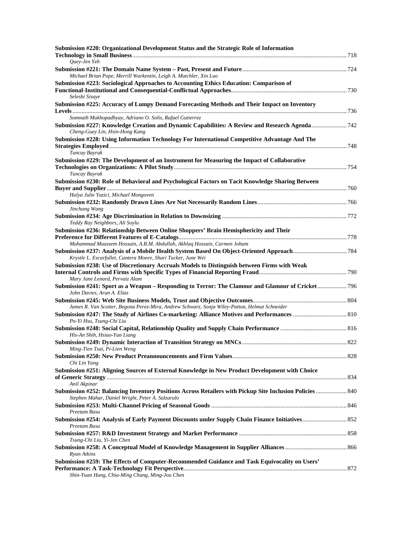| Submission #220: Organizational Development Status and the Strategic Role of Information                                                        |  |
|-------------------------------------------------------------------------------------------------------------------------------------------------|--|
| Quey-Jen Yeh                                                                                                                                    |  |
| Michael Brian Pope, Merrill Warkentin, Leigh A. Mutchler, Xin Luo                                                                               |  |
| Submission #223: Sociological Approaches to Accounting Ethics Education: Comparison of                                                          |  |
| Seleshi Sisaye                                                                                                                                  |  |
| Submission #225: Accuracy of Lumpy Demand Forecasting Methods and Their Impact on Inventory                                                     |  |
| Somnath Mukhopadhyay, Adriano O. Solis, Rafael Gutierrez                                                                                        |  |
| Submission #227: Knowledge Creation and Dynamic Capabilities: A Review and Research Agenda742<br>Cheng-Guey Lin, Hsin-Hong Kang                 |  |
| Submission #228: Using Information Technology For International Competitive Advantage And The                                                   |  |
| Tuncay Bayrak                                                                                                                                   |  |
| Submission #229: The Development of an Instrument for Measuring the Impact of Collaborative                                                     |  |
| Tuncay Bayrak                                                                                                                                   |  |
| Submission #230: Role of Behavioral and Psychological Factors on Tacit Knowledge Sharing Between                                                |  |
| Hulya Julie Yazici, Michael Mongoven                                                                                                            |  |
| Jinchang Wang                                                                                                                                   |  |
| Teddy Ray Neighbors, Ali Soylu                                                                                                                  |  |
| Submission #236: Relationship Between Online Shoppers' Brain Hemisphericity and Their                                                           |  |
| Muhammad Muazzem Hossain, A.B.M. Abdullah, Akhlaq Hossain, Carmen Joham                                                                         |  |
|                                                                                                                                                 |  |
| Krystle L. Escarfullet, Cantera Moore, Shari Tucker, June Wei                                                                                   |  |
| Submission #238: Use of Discretionary Accruals Models to Distinguish between Firms with Weak<br>Mary Jane Lenard, Pervaiz Alam                  |  |
| Submission #241: Sport as a Weapon - Responding to Terror: The Clamour and Glamour of Cricket 796<br>John Davies, Arun A. Elias                 |  |
|                                                                                                                                                 |  |
| James R. Van Scotter, Begona Perez-Mira, Andrew Schwarz, Sonja Wiley-Patton, Helmut Schneider                                                   |  |
| Po-Yi Hsu, Tsung-Chi Liu                                                                                                                        |  |
| His-An Shih, Hsiao-Yun Liang                                                                                                                    |  |
| Ming-Tien Tsai, Pi-Lien Weng                                                                                                                    |  |
|                                                                                                                                                 |  |
| Chi Lin Yang                                                                                                                                    |  |
| Submission #251: Aligning Sources of External Knowledge in New Product Development with Choice                                                  |  |
| Anil Akpinar<br>Submission #252: Balancing Inventory Positions Across Retailers with Pickup Site Inclusion Policies  840                        |  |
| Stephen Mahar, Daniel Wright, Peter A. Salzarulo                                                                                                |  |
| Preetam Basu                                                                                                                                    |  |
| Preetam Basu                                                                                                                                    |  |
| Tsung-Chi Liu, Yi-Jen Chen                                                                                                                      |  |
| Ryan Atkins                                                                                                                                     |  |
| Submission #259: The Effects of Computer-Recommended Guidance and Task Equivocality on Users'<br>Shin-Yuan Hung, Chia-Ming Chang, Ming-Jou Chen |  |
|                                                                                                                                                 |  |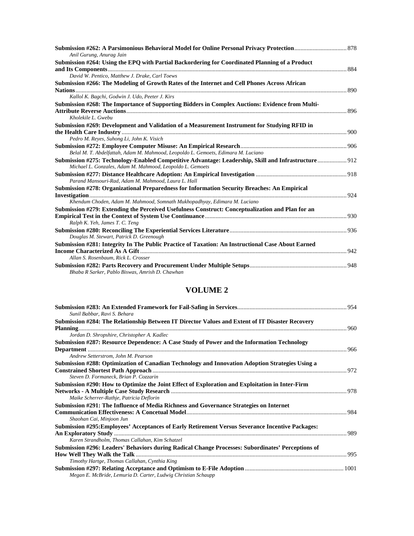| Anil Gurung, Anurag Jain                                                                                                                                         |  |
|------------------------------------------------------------------------------------------------------------------------------------------------------------------|--|
| Submission #264: Using the EPQ with Partial Backordering for Coordinated Planning of a Product                                                                   |  |
|                                                                                                                                                                  |  |
| David W. Pentico, Matthew J. Drake, Carl Toews                                                                                                                   |  |
| Submission #266: The Modeling of Growth Rates of the Internet and Cell Phones Across African                                                                     |  |
|                                                                                                                                                                  |  |
| Kallol K. Bagchi, Godwin J. Udo, Peeter J. Kirs                                                                                                                  |  |
| Submission #268: The Importance of Supporting Bidders in Complex Auctions: Evidence from Multi-                                                                  |  |
|                                                                                                                                                                  |  |
| Kholekile L. Gwebu                                                                                                                                               |  |
| Submission #269: Development and Validation of a Measurement Instrument for Studying RFID in                                                                     |  |
|                                                                                                                                                                  |  |
| Pedro M. Reyes, Suhong Li, John K. Visich                                                                                                                        |  |
|                                                                                                                                                                  |  |
| Belal M. T. Abdelfattah, Adam M. Mahmood, Leopoldo L. Gemoets, Edimara M. Luciano                                                                                |  |
| Submission #275: Technology-Enabled Competitive Advantage: Leadership, Skill and Infrastructure 912<br>Michael L. Gonzales, Adam M. Mahmood, Leopoldo L. Gemoets |  |
| Parand Mansouri-Rad, Adam M. Mahmood, Laura L. Hall                                                                                                              |  |
| Submission #278: Organizational Preparedness for Information Security Breaches: An Empirical                                                                     |  |
|                                                                                                                                                                  |  |
| Khendum Choden, Adam M. Mahmood, Somnath Mukhopadhyay, Edimara M. Luciano                                                                                        |  |
| Submission #279: Extending the Perceived Usefulness Construct: Conceptualization and Plan for an                                                                 |  |
|                                                                                                                                                                  |  |
| Ralph K. Yeh, James T. C. Teng                                                                                                                                   |  |
|                                                                                                                                                                  |  |
| Douglas M. Stewart, Patrick D. Greenough                                                                                                                         |  |
| Submission #281: Integrity In The Public Practice of Taxation: An Instructional Case About Earned                                                                |  |
|                                                                                                                                                                  |  |
| Allan S. Rosenbaum, Rick L. Crosser                                                                                                                              |  |
|                                                                                                                                                                  |  |
| Bhaba R Sarker, Pablo Biswas, Amrish D. Chawhan                                                                                                                  |  |

## **VOLUME 2**

| Sunil Babbar, Ravi S. Behara                                                                                                                |  |
|---------------------------------------------------------------------------------------------------------------------------------------------|--|
| Submission #284: The Relationship Between IT Director Values and Extent of IT Disaster Recovery                                             |  |
| Jordan D. Shropshire, Christopher A. Kadlec                                                                                                 |  |
| Submission #287: Resource Dependence: A Case Study of Power and the Information Technology                                                  |  |
| Andrew Setterstrom, John M. Pearson                                                                                                         |  |
| Submission #288: Optimization of Canadian Technology and Innovation Adoption Strategies Using a<br>Steven D. Formaneck, Brian P. Cozzarin   |  |
| Submission #290: How to Optimize the Joint Effect of Exploration and Exploitation in Inter-Firm<br>Maike Scherrer-Rathje, Patricia Deflorin |  |
| Submission #291: The Influence of Media Richness and Governance Strategies on Internet<br>Shaohan Cai, Minjoon Jun                          |  |
| Submission #295: Employees' Acceptances of Early Retirement Versus Severance Incentive Packages:                                            |  |
|                                                                                                                                             |  |
| Karen Strandholm, Thomas Callahan, Kim Schatzel                                                                                             |  |
| Submission #296: Leaders' Behaviors during Radical Change Processes: Subordinates' Perceptions of                                           |  |
|                                                                                                                                             |  |
| Timothy Hartge, Thomas Callahan, Cynthia King                                                                                               |  |
| Megan E. McBride, Lemuria D. Carter, Ludwig Christian Schaupp                                                                               |  |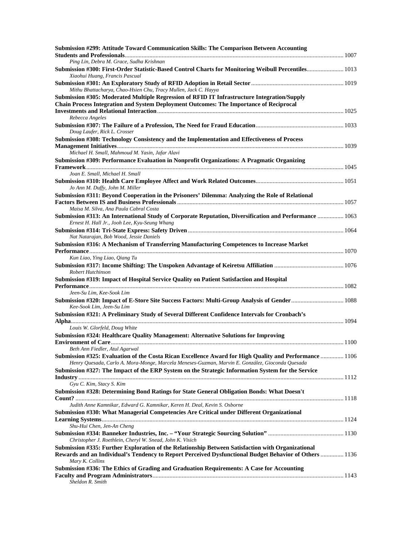| Submission #299: Attitude Toward Communication Skills: The Comparison Between Accounting                                                                |  |
|---------------------------------------------------------------------------------------------------------------------------------------------------------|--|
| Ping Lin, Debra M. Grace, Sudha Krishnan                                                                                                                |  |
| Submission #300: First-Order Statistic-Based Control Charts for Monitoring Weibull Percentiles 1013<br>Xiaohui Huang, Francis Pascual                   |  |
| Mithu Bhattacharya, Chao-Hsien Chu, Tracy Mullen, Jack C. Hayya                                                                                         |  |
| Submission #305: Moderated Multiple Regression of RFID IT Infrastructure Integration/Supply                                                             |  |
| <b>Chain Process Integration and System Deployment Outcomes: The Importance of Reciprocal</b>                                                           |  |
|                                                                                                                                                         |  |
| Rebecca Angeles                                                                                                                                         |  |
| Doug Laufer, Rick L. Crosser                                                                                                                            |  |
| Submission #308: Technology Consistency and the Implementation and Effectiveness of Process                                                             |  |
|                                                                                                                                                         |  |
| Michael H. Small, Mahmoud M. Yasin, Jafar Alavi                                                                                                         |  |
| Submission #309: Performance Evaluation in Nonprofit Organizations: A Pragmatic Organizing                                                              |  |
|                                                                                                                                                         |  |
| Joan E. Small, Michael H. Small                                                                                                                         |  |
| Jo Ann M. Duffy, John M. Miller                                                                                                                         |  |
| Submission #311: Beyond Cooperation in the Prisoners' Dilemma: Analyzing the Role of Relational                                                         |  |
|                                                                                                                                                         |  |
| Maisa M. Silva, Ana Paula Cabral Costa                                                                                                                  |  |
| Submission #313: An International Study of Corporate Reputation, Diversification and Performance  1063<br>Ernest H. Hall Jr., Jooh Lee, Kyu-Seung Whang |  |
|                                                                                                                                                         |  |
| Nat Natarajan, Bob Wood, Jessie Daniels                                                                                                                 |  |
| Submission #316: A Mechanism of Transferring Manufacturing Competences to Increase Market                                                               |  |
|                                                                                                                                                         |  |
| Kun Liao, Ying Liao, Qiang Tu                                                                                                                           |  |
|                                                                                                                                                         |  |
| <b>Robert Hutchinson</b>                                                                                                                                |  |
| Submission #319: Impact of Hospital Service Quality on Patient Satisfaction and Hospital                                                                |  |
|                                                                                                                                                         |  |
| Jeen-Su Lim, Kee-Sook Lim                                                                                                                               |  |
| Submission #320: Impact of E-Store Site Success Factors: Multi-Group Analysis of Gender 1088                                                            |  |
| Kee-Sook Lim, Jeen-Su Lim                                                                                                                               |  |
| Submission #321: A Preliminary Study of Several Different Confidence Intervals for Cronbach's                                                           |  |
| Louis W. Glorfeld, Doug White                                                                                                                           |  |
| Submission #324: Healthcare Quality Management: Alternative Solutions for Improving                                                                     |  |
|                                                                                                                                                         |  |
| Beth Ann Fiedler, Atul Agarwal                                                                                                                          |  |
| Submission #325: Evaluation of the Costa Rican Excellence Award for High Quality and Performance  1106                                                  |  |
| Henry Quesada, Carlo A. Mora-Monge, Marcela Meneses-Guzman, Marvin E. González, Gioconda Quesada                                                        |  |
| Submission #327: The Impact of the ERP System on the Strategic Information System for the Service                                                       |  |
|                                                                                                                                                         |  |
| Gyu C. Kim, Stacy S. Kim                                                                                                                                |  |
| Submission #328: Determining Bond Ratings for State General Obligation Bonds: What Doesn't                                                              |  |
|                                                                                                                                                         |  |
| Judith Anne Kamnikar, Edward G. Kamnikar, Keren H. Deal, Kevin S. Osborne                                                                               |  |
| Submission #330: What Managerial Competencies Are Critical under Different Organizational                                                               |  |
| Shu-Hui Chen, Jen-An Cheng                                                                                                                              |  |
|                                                                                                                                                         |  |
| Christopher J. Roethlein, Cheryl W. Snead, John K. Visich                                                                                               |  |
| Submission #335: Further Exploration of the Relationship Between Satisfaction with Organizational                                                       |  |
| Rewards and an Individual's Tendency to Report Perceived Dysfunctional Budget Behavior of Others  1136                                                  |  |
| Mary K. Collins                                                                                                                                         |  |
| Submission #336: The Ethics of Grading and Graduation Requirements: A Case for Accounting                                                               |  |
|                                                                                                                                                         |  |
| Sheldon R. Smith                                                                                                                                        |  |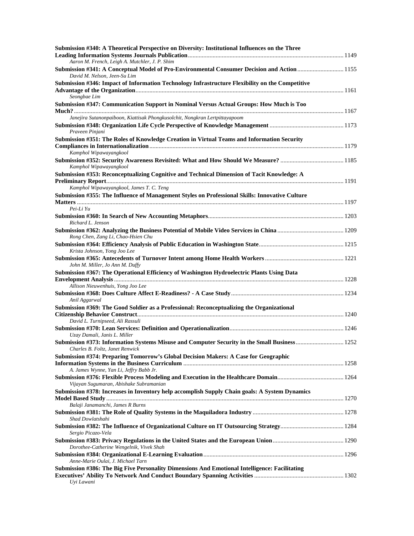| Submission #340: A Theoretical Perspective on Diversity: Institutional Influences on the Three                                  |  |
|---------------------------------------------------------------------------------------------------------------------------------|--|
| Aaron M. French, Leigh A. Mutchler, J. P. Shim                                                                                  |  |
| Submission #341: A Conceptual Model of Pro-Environmental Consumer Decision and Action  1155<br>David M. Nelson, Jeen-Su Lim     |  |
| Submission #346: Impact of Information Technology Infrastructure Flexibility on the Competitive                                 |  |
| Seongbae Lim                                                                                                                    |  |
| Submission #347: Communication Support in Nominal Versus Actual Groups: How Much is Too                                         |  |
| Janejira Sutanonpaiboon, Kiattisak Phongkusolchit, Nongkran Lertpittayapoom                                                     |  |
| Praveen Pinjani                                                                                                                 |  |
| Submission #351: The Roles of Knowledge Creation in Virtual Teams and Information Security                                      |  |
| Kamphol Wipawayangkool<br>Kamphol Wipawayangkool                                                                                |  |
| Submission #353: Reconceptualizing Cognitive and Technical Dimension of Tacit Knowledge: A                                      |  |
| Kamphol Wipawayangkool, James T. C. Teng                                                                                        |  |
| Submission #355: The Influence of Management Styles on Professional Skills: Innovative Culture                                  |  |
| Pei-Li Yu                                                                                                                       |  |
| Richard L. Jenson                                                                                                               |  |
| Rong Chen, Zang Li, Chao-Hsien Chu                                                                                              |  |
| Krista Johnson, Yong Joo Lee                                                                                                    |  |
| John M. Miller, Jo Ann M. Duffy                                                                                                 |  |
| Submission #367: The Operational Efficiency of Washington Hydroelectric Plants Using Data                                       |  |
| Allison Nieuwenhuis, Yong Joo Lee                                                                                               |  |
| Anil Aggarwal                                                                                                                   |  |
| Submission #369: The Good Soldier as a Professional: Reconceptualizing the Organizational                                       |  |
| David L. Turnipseed, Ali Rassuli                                                                                                |  |
| Uzay Damali, Janis L. Miller                                                                                                    |  |
| Submission #373: Information Systems Misuse and Computer Security in the Small Business 1252<br>Charles B. Foltz, Janet Renwick |  |
| Submission #374: Preparing Tomorrow's Global Decision Makers: A Case for Geographic                                             |  |
| A. James Wynne, Yan Li, Jeffry Babb Jr.                                                                                         |  |
| Vijayan Sugumaran, Abishake Subramanian                                                                                         |  |
| Submission #378: Increases in Inventory help accomplish Supply Chain goals: A System Dynamics                                   |  |
| Balaji Janamanchi, James R Burns                                                                                                |  |
| Shad Dowlatshahi                                                                                                                |  |
| Sergio Picazo-Vela                                                                                                              |  |
| Dorothee-Catherine Wengelnik, Vivek Shah                                                                                        |  |
| Anne-Marie Oulai, J. Michael Tarn                                                                                               |  |
| Submission #386: The Big Five Personality Dimensions And Emotional Intelligence: Facilitating                                   |  |
| Uyi Lawani                                                                                                                      |  |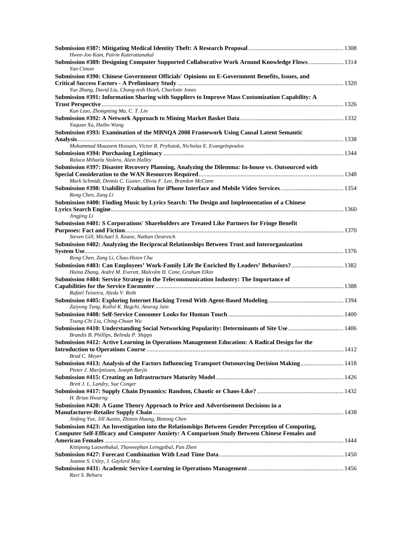| Hwee-Joo Kam, Pairin Katerattanakul                                                                                                                                                                                                                              |  |
|------------------------------------------------------------------------------------------------------------------------------------------------------------------------------------------------------------------------------------------------------------------|--|
| Submission #389: Designing Computer Supported Collaborative Work Around Knowledge Flows 1314<br>Yan Cimon                                                                                                                                                        |  |
| Submission #390: Chinese Government Officials' Opinions on E-Government Benefits, Issues, and<br>Yue Zhang, David Liu, Chang-tesh Hsieh, Charlotte Jones                                                                                                         |  |
| Submission #391: Information Sharing with Suppliers to Improve Mass Customization Capability: A                                                                                                                                                                  |  |
|                                                                                                                                                                                                                                                                  |  |
| Kun Liao, Zhongming Ma, C. T. Lin<br>Yaquan Xu, Haibo Wang                                                                                                                                                                                                       |  |
| Submission #393: Examination of the MBNQA 2008 Framework Using Causal Latent Semantic                                                                                                                                                                            |  |
| Muhammad Muazzem Hossain, Victor R. Prybutok, Nicholas E. Evangelopoulos                                                                                                                                                                                         |  |
| Raluca Mihaela Stoleru, Alain Halley                                                                                                                                                                                                                             |  |
| Submission #397: Disaster Recovery Planning, Analyzing the Dilemma: In-house vs. Outsourced with                                                                                                                                                                 |  |
| Mark Schmidt, Dennis C. Guster, Olivia F. Lee, Brandon McCann                                                                                                                                                                                                    |  |
| Rong Chen, Zang Li                                                                                                                                                                                                                                               |  |
| Submission #400: Finding Music by Lyrics Search: The Design and Implementation of a Chinese                                                                                                                                                                      |  |
| Jingjing Li                                                                                                                                                                                                                                                      |  |
| Submission #401: S Corporations' Shareholders are Treated Like Partners for Fringe Benefit<br>Steven Gill, Michael S. Keane, Nathan Oestreich                                                                                                                    |  |
| Submission #402: Analyzing the Reciprocal Relationships Between Trust and Interorganization                                                                                                                                                                      |  |
| Rong Chen, Zang Li, Chao-Hsien Chu                                                                                                                                                                                                                               |  |
| Haina Zhang, André M. Everett, Malcolm H. Cone, Graham Elkin                                                                                                                                                                                                     |  |
| Submission #404: Service Strategy in the Telecommunication Industry: The Importance of                                                                                                                                                                           |  |
| Capabilities for the Service Encounter manufactured and the service Encounter manufactured and the Service Encounter manufactured and the service Encounter manufactured and the Service Encounter manufactured and the Servic<br>Rafael Teixeira, Aleda V. Roth |  |
| Zaiyong Tang, Kallol K. Bagchi, Anurag Jain                                                                                                                                                                                                                      |  |
|                                                                                                                                                                                                                                                                  |  |
| Tsung-Chi Liu, Ching-Chuan Wu                                                                                                                                                                                                                                    |  |
| Brandis B. Phillips, Belinda P. Shipps<br>Submission #412: Active Learning in Operations Management Education: A Radical Design for the                                                                                                                          |  |
| Brad C. Meyer                                                                                                                                                                                                                                                    |  |
| Submission #413: Analysis of the Factors Influencing Transport Outsourcing Decision Making 1418<br>Pieter J. Marijnissen, Joseph Barjis                                                                                                                          |  |
| Brett J. L. Landry, Sue Conger                                                                                                                                                                                                                                   |  |
| H. Brian Hwarng                                                                                                                                                                                                                                                  |  |
| Submission #420: A Game Theory Approach to Price and Advertisement Decisions in a<br>Jinfeng Yue, Jill Austin, Zhimin Huang, Bintong Chen                                                                                                                        |  |
| Submission #423: An Investigation into the Relationships Between Gender Perception of Computing,<br>Computer Self-Efficacy and Computer Anxiety: A Comparison Study Between Chinese Females and                                                                  |  |
|                                                                                                                                                                                                                                                                  |  |
| Kittipong Laosethakul, Thaweephan Leingpibul, Pan Zhen                                                                                                                                                                                                           |  |
| Joanne S. Utley, J. Gaylord May                                                                                                                                                                                                                                  |  |
| Ravi S. Behara                                                                                                                                                                                                                                                   |  |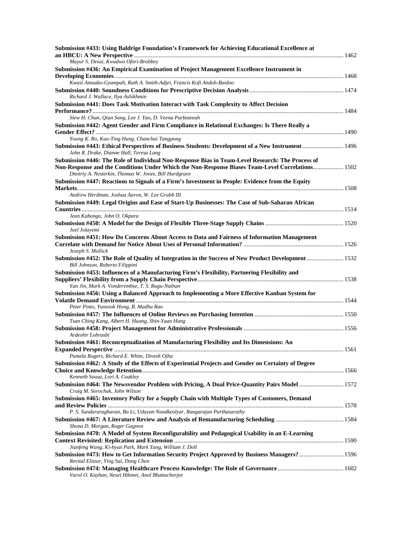| Submission #433: Using Baldrige Foundation's Framework for Achieving Educational Excellence at                                                            |  |
|-----------------------------------------------------------------------------------------------------------------------------------------------------------|--|
| Mayur S. Desai, Kwadwo Ofori-Brobbey                                                                                                                      |  |
| Submission #436: An Empirical Examination of Project Management Excellence Instrument in                                                                  |  |
|                                                                                                                                                           |  |
| Kwasi Amoako-Gyampah, Ruth A. Smith-Adjei, Francis Kofi Andoh-Baidoo                                                                                      |  |
|                                                                                                                                                           |  |
| Richard J. Wallace, Ilya Ashikhmin                                                                                                                        |  |
| Submission #441: Does Task Motivation Interact with Task Complexity to Affect Decision                                                                    |  |
| Siew H. Chan, Qian Song, Lee J. Yao, D. Veena Parboteeah                                                                                                  |  |
| Submission #442: Agent Gender and Firm Compliance in Relational Exchanges: Is There Really a                                                              |  |
|                                                                                                                                                           |  |
| Young K. Ro, Kuo-Ting Hung, Chanchai Tangpong                                                                                                             |  |
| Submission #443: Ethical Perspectives of Business Students: Development of a New Instrument 1496                                                          |  |
| John R. Drake, Dianne Hall, Teresa Lang                                                                                                                   |  |
| Submission #446: The Role of Individual Non-Response Bias in Team-Level Research: The Process of                                                          |  |
| Non-Response and the Conditions Under Which the Non-Response Biases Team-Level Correlations 1502                                                          |  |
| Dmitriy A. Nesterkin, Thomas W. Jones, Bill Hardgrave<br>Submission #447: Reactions to Signals of a Firm's Investment in People: Evidence from the Equity |  |
|                                                                                                                                                           |  |
| Andrew Herdman, Joshua Aaron, W. Lee Grubb III                                                                                                            |  |
| Submission #449: Legal Origins and Ease of Start-Up Businesses: The Case of Sub-Saharan African                                                           |  |
|                                                                                                                                                           |  |
| Jean Kabongo, John O. Okpara                                                                                                                              |  |
|                                                                                                                                                           |  |
| Joel Jolayemi                                                                                                                                             |  |
| Submission #451: How Do Concerns About Access to Data and Fairness of Information Management                                                              |  |
| Joseph S. Mollick                                                                                                                                         |  |
| Submission #452: The Role of Quality of Integration in the Success of New Product Development  1532                                                       |  |
| Bill Johnson, Roberto Filippini                                                                                                                           |  |
| Submission #453: Influences of a Manufacturing Firm's Flexibility, Partnering Flexibility and                                                             |  |
|                                                                                                                                                           |  |
| Yan Jin, Mark A. Vonderembse, T. S. Ragu-Nathan                                                                                                           |  |
| Submission #456: Using a Balanced Approach to Implementing a More Effective Kanban System for                                                             |  |
| Peter Pinto, Yunsook Hong, B. Madhu Rao                                                                                                                   |  |
|                                                                                                                                                           |  |
| Tsan Ching Kang, Albert H. Huang, Shin-Yuan Hung                                                                                                          |  |
|                                                                                                                                                           |  |
| Ardeshir Lohrasbi                                                                                                                                         |  |
| Submission #461: Reconceptualization of Manufacturing Flexibility and Its Dimensions: An                                                                  |  |
|                                                                                                                                                           |  |
| Pamela Rogers, Richard E. White, Divesh Ojha<br>Submission #462: A Study of the Effects of Experiential Projects and Gender on Certainty of Degree        |  |
|                                                                                                                                                           |  |
| Kenneth Sousa, Lori A. Coakley                                                                                                                            |  |
| Submission #464: The Newsvendor Problem with Pricing, A Dual Price-Quantity Pairs Model  1572                                                             |  |
| Craig M. Sorochuk, John Wilson                                                                                                                            |  |
| Submission #465: Inventory Policy for a Supply Chain with Multiple Types of Customers, Demand                                                             |  |
|                                                                                                                                                           |  |
| P. S. Sundararaghavan, Bo Li, Udayan Nandkeolyar, Rangarajan Parthasarathy                                                                                |  |
| Shona D. Morgan, Roger Gagnon                                                                                                                             |  |
| Submission #470: A Model of System Reconfigurability and Pedagogical Usability in an E-Learning                                                           |  |
|                                                                                                                                                           |  |
| Jianfeng Wang, Ki-hyun Park, Mark Yang, William J. Doll                                                                                                   |  |
| Submission #473: How to Get Information Security Project Approved by Business Managers? 1596                                                              |  |
| Revital Elitzur, Ying Sai, Dong Chen                                                                                                                      |  |
|                                                                                                                                                           |  |
| Varol O. Kayhan, Neset Hikmet, Anol Bhattacherjee                                                                                                         |  |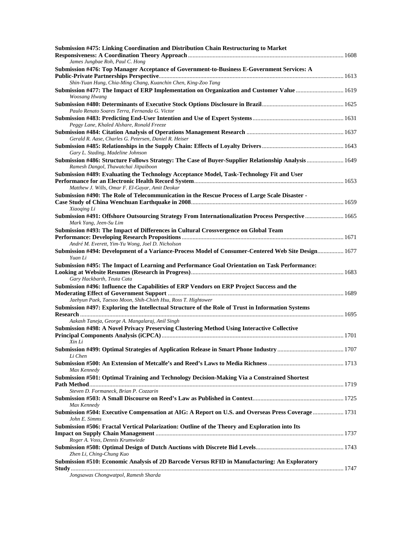| Submission #475: Linking Coordination and Distribution Chain Restructuring to Market                                                                        |  |
|-------------------------------------------------------------------------------------------------------------------------------------------------------------|--|
| James Jungbae Roh, Paul C. Hong                                                                                                                             |  |
| Submission #476: Top Manager Acceptance of Government-to-Business E-Government Services: A                                                                  |  |
|                                                                                                                                                             |  |
| Shin-Yuan Hung, Chia-Ming Chang, Kuanchin Chen, King-Zoo Tang<br>Submission #477: The Impact of ERP Implementation on Organization and Customer Value  1619 |  |
| <b>Woosang Hwang</b>                                                                                                                                        |  |
| Paulo Renato Soares Terra, Fernanda G. Victor                                                                                                               |  |
|                                                                                                                                                             |  |
| Peggy Lane, Khaled Alshare, Ronald Freeze                                                                                                                   |  |
| Gerald R. Aase, Charles G. Petersen, Daniel R. Heiser                                                                                                       |  |
| Gary L. Stading, Madeline Johnson                                                                                                                           |  |
| Submission #486: Structure Follows Strategy: The Case of Buyer-Supplier Relationship Analysis 1649<br>Ramesh Dangol, Thawatchai Jitpaiboon                  |  |
| Submission #489: Evaluating the Technology Acceptance Model, Task-Technology Fit and User                                                                   |  |
| Matthew J. Wills, Omar F. El-Gayar, Amit Deokar                                                                                                             |  |
| Submission #490: The Role of Telecommunication in the Rescue Process of Large Scale Disaster -<br>Xiaoqing Li                                               |  |
| Submission #491: Offshore Outsourcing Strategy From Internationalization Process Perspective  1665<br>Mark Yang, Jeen-Su Lim                                |  |
| Submission #493: The Impact of Differences in Cultural Crossvergence on Global Team                                                                         |  |
| André M. Everett, Yim-Yu Wong, Joel D. Nicholson                                                                                                            |  |
| 1677 Submission #494: Development of a Variance-Process Model of Consumer-Centered Web Site Design 1677<br>Yuan Li                                          |  |
| Submission #495: The Impact of Learning and Performance Goal Orientation on Task Performance:                                                               |  |
| Gary Hackbarth, Teuta Cata<br>Submission #496: Influence the Capabilities of ERP Vendors on ERP Project Success and the                                     |  |
| Jaehyun Paek, Taesoo Moon, Shih-Chieh Hsu, Ross T. Hightower                                                                                                |  |
| Submission #497: Exploring the Intellectual Structure of the Role of Trust in Information Systems                                                           |  |
| Aakash Taneja, George A. Mangalaraj, Anil Singh<br>Submission #498: A Novel Privacy Preserving Clustering Method Using Interactive Collective               |  |
|                                                                                                                                                             |  |
| Xin Li                                                                                                                                                      |  |
| Li Chen                                                                                                                                                     |  |
| Max Kennedy                                                                                                                                                 |  |
| Submission #501: Optimal Training and Technology Decision-Making Via a Constrained Shortest                                                                 |  |
|                                                                                                                                                             |  |
| Steven D. Formaneck, Brian P. Cozzarin                                                                                                                      |  |
| Max Kennedy                                                                                                                                                 |  |
| Submission #504: Executive Compensation at AIG: A Report on U.S. and Overseas Press Coverage  1731<br>John E. Simms                                         |  |
| Submission #506: Fractal Vertical Polarization: Outline of the Theory and Exploration into Its                                                              |  |
| Roger A. Voss, Dennis Krumwiede                                                                                                                             |  |
|                                                                                                                                                             |  |
| Zhen Li, Ching-Chung Kuo                                                                                                                                    |  |
| Submission #510: Economic Analysis of 2D Barcode Versus RFID in Manufacturing: An Exploratory                                                               |  |
| Jongsawas Chongwatpol, Ramesh Sharda                                                                                                                        |  |